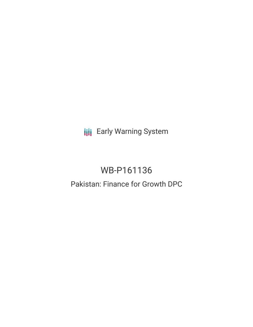**III** Early Warning System

# WB-P161136

# Pakistan: Finance for Growth DPC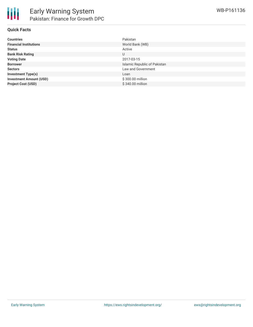

#### **Quick Facts**

| <b>Countries</b>               | Pakistan                     |
|--------------------------------|------------------------------|
| <b>Financial Institutions</b>  | World Bank (WB)              |
| <b>Status</b>                  | Active                       |
| <b>Bank Risk Rating</b>        | U                            |
| <b>Voting Date</b>             | 2017-03-15                   |
| <b>Borrower</b>                | Islamic Republic of Pakistan |
| <b>Sectors</b>                 | Law and Government           |
| <b>Investment Type(s)</b>      | Loan                         |
| <b>Investment Amount (USD)</b> | \$300.00 million             |
| <b>Project Cost (USD)</b>      | \$340.00 million             |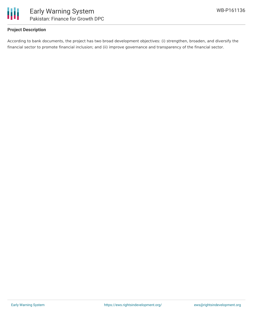

## **Project Description**

According to bank documents, the project has two broad development objectives: (i) strengthen, broaden, and diversify the financial sector to promote financial inclusion; and (ii) improve governance and transparency of the financial sector.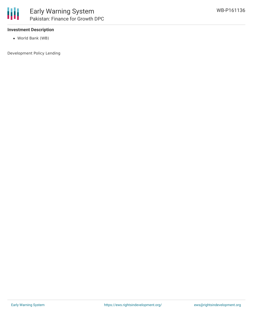

### **Investment Description**

World Bank (WB)

Development Policy Lending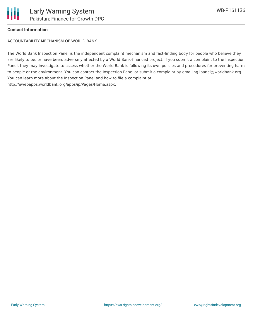

### **Contact Information**

ACCOUNTABILITY MECHANISM OF WORLD BANK

The World Bank Inspection Panel is the independent complaint mechanism and fact-finding body for people who believe they are likely to be, or have been, adversely affected by a World Bank-financed project. If you submit a complaint to the Inspection Panel, they may investigate to assess whether the World Bank is following its own policies and procedures for preventing harm to people or the environment. You can contact the Inspection Panel or submit a complaint by emailing ipanel@worldbank.org. You can learn more about the Inspection Panel and how to file a complaint at: http://ewebapps.worldbank.org/apps/ip/Pages/Home.aspx.